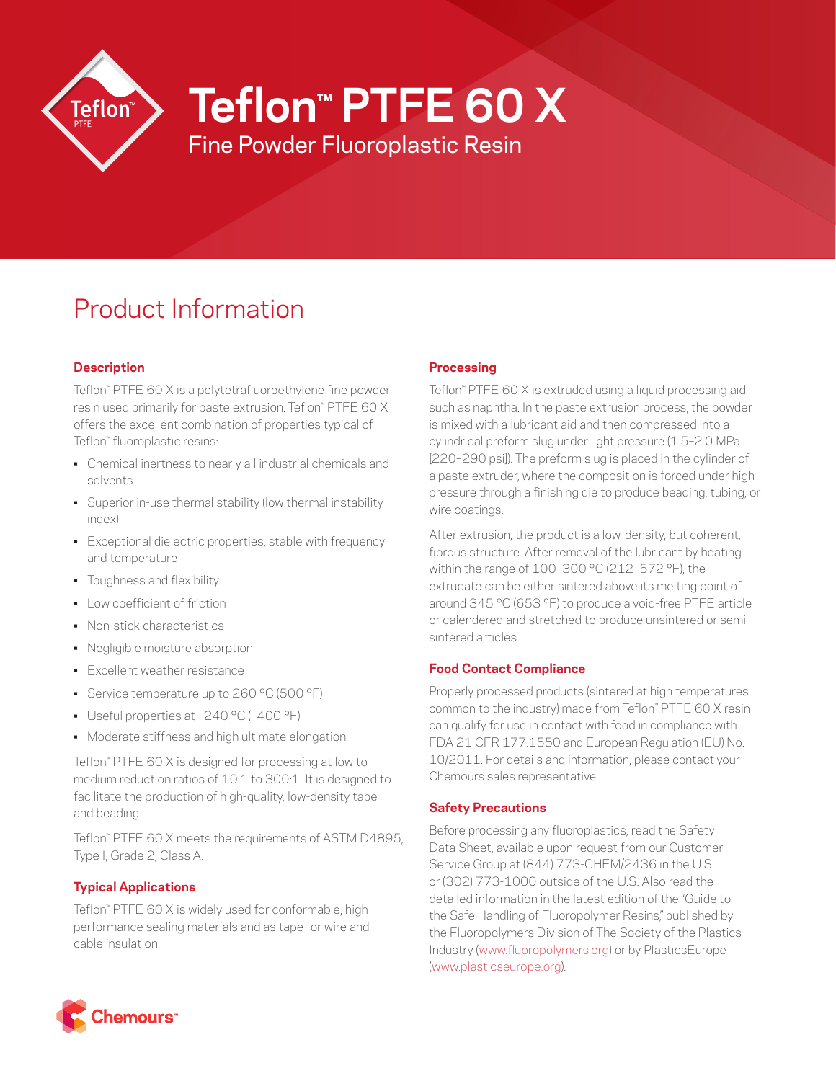

**Teflon™ PTFE 60 X**

Fine Powder Fluoroplastic Resin

# Product Information

## **Description**

Teflon™ PTFE 60 X is a polytetrafluoroethylene fine powder resin used primarily for paste extrusion. Teflon™ PTFE 60 X offers the excellent combination of properties typical of Teflon™ fluoroplastic resins:

- Chemical inertness to nearly all industrial chemicals and solvents
- Superior in-use thermal stability (low thermal instability index)
- Exceptional dielectric properties, stable with frequency and temperature
- Toughness and flexibility
- Low coefficient of friction
- Non-stick characteristics
- Negligible moisture absorption
- Excellent weather resistance
- Service temperature up to 260 °C (500 °F)
- Useful properties at –240 °C (–400 °F)
- Moderate stiffness and high ultimate elongation

Teflon™ PTFE 60 X is designed for processing at low to medium reduction ratios of 10:1 to 300:1. It is designed to facilitate the production of high-quality, low-density tape and beading.

Teflon™ PTFE 60 X meets the requirements of ASTM D4895, Type I, Grade 2, Class A.

## **Typical Applications**

Teflon™ PTFE 60 X is widely used for conformable, high performance sealing materials and as tape for wire and cable insulation.

## **Processing**

Teflon™ PTFE 60 X is extruded using a liquid processing aid such as naphtha. In the paste extrusion process, the powder is mixed with a lubricant aid and then compressed into a cylindrical preform slug under light pressure (1.5–2.0 MPa [220–290 psi]). The preform slug is placed in the cylinder of a paste extruder, where the composition is forced under high pressure through a finishing die to produce beading, tubing, or wire coatings.

After extrusion, the product is a low-density, but coherent, fibrous structure. After removal of the lubricant by heating within the range of 100–300 °C (212–572 °F), the extrudate can be either sintered above its melting point of around 345 °C (653 °F) to produce a void-free PTFE article or calendered and stretched to produce unsintered or semisintered articles.

## **Food Contact Compliance**

Properly processed products (sintered at high temperatures common to the industry) made from Teflon™ PTFE 60 X resin can qualify for use in contact with food in compliance with FDA 21 CFR 177.1550 and European Regulation (EU) No. 10/2011. For details and information, please contact your Chemours sales representative.

## **Safety Precautions**

Before processing any fluoroplastics, read the Safety Data Sheet, available upon request from our Customer Service Group at (844) 773-CHEM/2436 in the U.S. or (302) 773-1000 outside of the U.S. Also read the detailed information in the latest edition of the "Guide to the Safe Handling of Fluoropolymer Resins," published by the Fluoropolymers Division of The Society of the Plastics Industry ([www.fluoropolymers.org](http://www.fluoropolymers.org)) or by PlasticsEurope [\(www.plasticseurope.org](http://www.plasticseurope.org)).